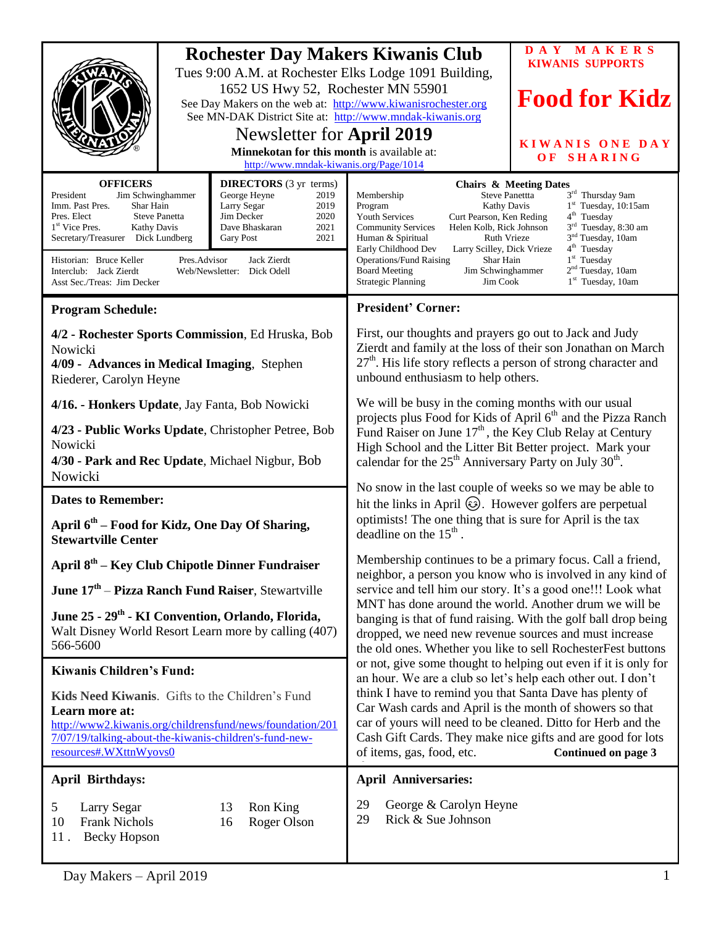|                                                                                                                                                                                                                                                                    |                                                                                      | <b>Rochester Day Makers Kiwanis Club</b>                                                                | Tues 9:00 A.M. at Rochester Elks Lodge 1091 Building,                                                                                                                                                                                                                                                                                                                                                                                                                                                                                                                                                                                                                                                                                                                                                                                                                                        | DAY MAKERS<br><b>KIWANIS SUPPORTS</b> |
|--------------------------------------------------------------------------------------------------------------------------------------------------------------------------------------------------------------------------------------------------------------------|--------------------------------------------------------------------------------------|---------------------------------------------------------------------------------------------------------|----------------------------------------------------------------------------------------------------------------------------------------------------------------------------------------------------------------------------------------------------------------------------------------------------------------------------------------------------------------------------------------------------------------------------------------------------------------------------------------------------------------------------------------------------------------------------------------------------------------------------------------------------------------------------------------------------------------------------------------------------------------------------------------------------------------------------------------------------------------------------------------------|---------------------------------------|
|                                                                                                                                                                                                                                                                    |                                                                                      | 1652 US Hwy 52, Rochester MN 55901                                                                      | See Day Makers on the web at: http://www.kiwanisrochester.org                                                                                                                                                                                                                                                                                                                                                                                                                                                                                                                                                                                                                                                                                                                                                                                                                                | <b>Food for Kidz</b>                  |
|                                                                                                                                                                                                                                                                    |                                                                                      | See MN-DAK District Site at: http://www.mndak-kiwanis.org<br>Newsletter for April 2019                  |                                                                                                                                                                                                                                                                                                                                                                                                                                                                                                                                                                                                                                                                                                                                                                                                                                                                                              |                                       |
|                                                                                                                                                                                                                                                                    | Minnekotan for this month is available at:<br>http://www.mndak-kiwanis.org/Page/1014 |                                                                                                         |                                                                                                                                                                                                                                                                                                                                                                                                                                                                                                                                                                                                                                                                                                                                                                                                                                                                                              | <b>KIWANIS ONE DAY</b><br>OF SHARING  |
| <b>OFFICERS</b><br>President<br>Jim Schwinghammer<br>Imm. Past Pres.<br>Shar Hain<br>Larry Segar<br>Jim Decker<br>Pres. Elect<br><b>Steve Panetta</b><br>1 <sup>st</sup> Vice Pres.<br><b>Kathy Davis</b><br>Secretary/Treasurer Dick Lundberg<br><b>Gary Post</b> |                                                                                      | <b>DIRECTORS</b> (3 yr terms)<br>George Heyne<br>2019<br>2019<br>2020<br>Dave Bhaskaran<br>2021<br>2021 | <b>Chairs &amp; Meeting Dates</b><br>3rd Thursday 9am<br>Steve Panettta<br>Membership<br>$1st$ Tuesday, 10:15am<br>Kathy Davis<br>Program<br>$4th$ Tuesday<br>Curt Pearson, Ken Reding<br><b>Youth Services</b><br>3 <sup>rd</sup> Tuesday, 8:30 am<br>Helen Kolb, Rick Johnson<br><b>Community Services</b><br>3 <sup>nd</sup> Tuesday, 10am<br>Ruth Vrieze<br>Human & Spiritual                                                                                                                                                                                                                                                                                                                                                                                                                                                                                                            |                                       |
| Jack Zierdt<br>Historian: Bruce Keller<br>Pres.Advisor<br>Interclub: Jack Zierdt<br>Web/Newsletter: Dick Odell<br>Asst Sec./Treas: Jim Decker                                                                                                                      |                                                                                      |                                                                                                         | 4 <sup>th</sup> Tuesday<br>Early Childhood Dev<br>Larry Scilley, Dick Vrieze<br>$1st$ Tuesday<br><b>Operations/Fund Raising</b><br>Shar Hain<br>2 <sup>nd</sup> Tuesday, 10am<br>Jim Schwinghammer<br><b>Board Meeting</b><br>$1st$ Tuesday, 10am<br><b>Strategic Planning</b><br>Jim Cook                                                                                                                                                                                                                                                                                                                                                                                                                                                                                                                                                                                                   |                                       |
| <b>Program Schedule:</b>                                                                                                                                                                                                                                           |                                                                                      |                                                                                                         | <b>President' Corner:</b>                                                                                                                                                                                                                                                                                                                                                                                                                                                                                                                                                                                                                                                                                                                                                                                                                                                                    |                                       |
| 4/2 - Rochester Sports Commission, Ed Hruska, Bob<br>Nowicki<br>4/09 - Advances in Medical Imaging, Stephen<br>Riederer, Carolyn Heyne                                                                                                                             |                                                                                      |                                                                                                         | First, our thoughts and prayers go out to Jack and Judy<br>Zierdt and family at the loss of their son Jonathan on March<br>$27th$ . His life story reflects a person of strong character and<br>unbound enthusiasm to help others.                                                                                                                                                                                                                                                                                                                                                                                                                                                                                                                                                                                                                                                           |                                       |
| 4/16. - Honkers Update, Jay Fanta, Bob Nowicki                                                                                                                                                                                                                     |                                                                                      |                                                                                                         | We will be busy in the coming months with our usual<br>projects plus Food for Kids of April 6 <sup>th</sup> and the Pizza Ranch<br>Fund Raiser on June 17 <sup>th</sup> , the Key Club Relay at Century<br>High School and the Litter Bit Better project. Mark your<br>calendar for the $25th$ Anniversary Party on July 30 <sup>th</sup> .                                                                                                                                                                                                                                                                                                                                                                                                                                                                                                                                                  |                                       |
| 4/23 - Public Works Update, Christopher Petree, Bob<br>Nowicki<br>4/30 - Park and Rec Update, Michael Nigbur, Bob<br>Nowicki                                                                                                                                       |                                                                                      |                                                                                                         |                                                                                                                                                                                                                                                                                                                                                                                                                                                                                                                                                                                                                                                                                                                                                                                                                                                                                              |                                       |
| <b>Dates to Remember:</b>                                                                                                                                                                                                                                          |                                                                                      |                                                                                                         | No snow in the last couple of weeks so we may be able to<br>hit the links in April $\circledS$ . However golfers are perpetual<br>optimists! The one thing that is sure for April is the tax<br>deadline on the $15th$ .                                                                                                                                                                                                                                                                                                                                                                                                                                                                                                                                                                                                                                                                     |                                       |
| April 6 <sup>th</sup> – Food for Kidz, One Day Of Sharing,<br><b>Stewartville Center</b>                                                                                                                                                                           |                                                                                      |                                                                                                         |                                                                                                                                                                                                                                                                                                                                                                                                                                                                                                                                                                                                                                                                                                                                                                                                                                                                                              |                                       |
| April 8 <sup>th</sup> – Key Club Chipotle Dinner Fundraiser                                                                                                                                                                                                        |                                                                                      |                                                                                                         | Membership continues to be a primary focus. Call a friend,<br>neighbor, a person you know who is involved in any kind of<br>service and tell him our story. It's a good one!!! Look what<br>MNT has done around the world. Another drum we will be<br>banging is that of fund raising. With the golf ball drop being<br>dropped, we need new revenue sources and must increase<br>the old ones. Whether you like to sell RochesterFest buttons<br>or not, give some thought to helping out even if it is only for<br>an hour. We are a club so let's help each other out. I don't<br>think I have to remind you that Santa Dave has plenty of<br>Car Wash cards and April is the month of showers so that<br>car of yours will need to be cleaned. Ditto for Herb and the<br>Cash Gift Cards. They make nice gifts and are good for lots<br>of items, gas, food, etc.<br>Continued on page 3 |                                       |
| June 17 <sup>th</sup> – Pizza Ranch Fund Raiser, Stewartville                                                                                                                                                                                                      |                                                                                      |                                                                                                         |                                                                                                                                                                                                                                                                                                                                                                                                                                                                                                                                                                                                                                                                                                                                                                                                                                                                                              |                                       |
| June 25 - 29 <sup>th</sup> - KI Convention, Orlando, Florida,<br>Walt Disney World Resort Learn more by calling (407)<br>566-5600                                                                                                                                  |                                                                                      |                                                                                                         |                                                                                                                                                                                                                                                                                                                                                                                                                                                                                                                                                                                                                                                                                                                                                                                                                                                                                              |                                       |
| <b>Kiwanis Children's Fund:</b>                                                                                                                                                                                                                                    |                                                                                      |                                                                                                         |                                                                                                                                                                                                                                                                                                                                                                                                                                                                                                                                                                                                                                                                                                                                                                                                                                                                                              |                                       |
| Kids Need Kiwanis. Gifts to the Children's Fund<br>Learn more at:<br>http://www2.kiwanis.org/childrensfund/news/foundation/201<br>7/07/19/talking-about-the-kiwanis-children's-fund-new-<br>resources#.WXttnWyovs0                                                 |                                                                                      |                                                                                                         |                                                                                                                                                                                                                                                                                                                                                                                                                                                                                                                                                                                                                                                                                                                                                                                                                                                                                              |                                       |
| April Birthdays:                                                                                                                                                                                                                                                   |                                                                                      |                                                                                                         | <b>April Anniversaries:</b>                                                                                                                                                                                                                                                                                                                                                                                                                                                                                                                                                                                                                                                                                                                                                                                                                                                                  |                                       |
| 5<br>Larry Segar<br>Ron King<br>13<br>10<br><b>Frank Nichols</b><br>16<br>Roger Olson<br><b>Becky Hopson</b><br>11.                                                                                                                                                |                                                                                      |                                                                                                         | 29<br>George & Carolyn Heyne<br>29<br>Rick & Sue Johnson                                                                                                                                                                                                                                                                                                                                                                                                                                                                                                                                                                                                                                                                                                                                                                                                                                     |                                       |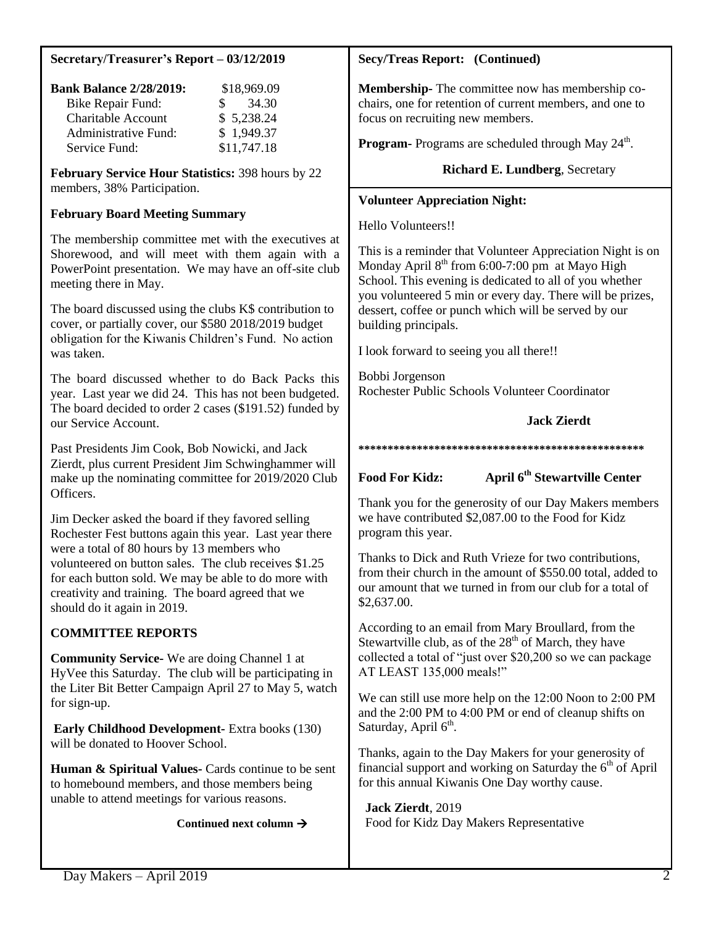## **Secretary/Treasurer's Report – 03/12/2019**

| <b>Bank Balance 2/28/2019:</b> | \$18,969.09  |  |
|--------------------------------|--------------|--|
| <b>Bike Repair Fund:</b>       | 34.30<br>SS. |  |
| <b>Charitable Account</b>      | \$5,238.24   |  |
| Administrative Fund:           | \$1,949.37   |  |
| Service Fund:                  | \$11,747.18  |  |

**February Service Hour Statistics:** 398 hours by 22 members, 38% Participation.

### **February Board Meeting Summary**

The membership committee met with the executives at Shorewood, and will meet with them again with a PowerPoint presentation. We may have an off-site club meeting there in May.

The board discussed using the clubs K\$ contribution to cover, or partially cover, our \$580 2018/2019 budget obligation for the Kiwanis Children's Fund. No action was taken.

The board discussed whether to do Back Packs this year. Last year we did 24. This has not been budgeted. The board decided to order 2 cases (\$191.52) funded by our Service Account.

Past Presidents Jim Cook, Bob Nowicki, and Jack Zierdt, plus current President Jim Schwinghammer will make up the nominating committee for 2019/2020 Club Officers.

Jim Decker asked the board if they favored selling Rochester Fest buttons again this year. Last year there were a total of 80 hours by 13 members who volunteered on button sales. The club receives \$1.25 for each button sold. We may be able to do more with creativity and training. The board agreed that we should do it again in 2019.

# **COMMITTEE REPORTS**

**Community Service-** We are doing Channel 1 at HyVee this Saturday. The club will be participating in the Liter Bit Better Campaign April 27 to May 5, watch for sign-up.

**Early Childhood Development-** Extra books (130) will be donated to Hoover School.

**Human & Spiritual Values-** Cards continue to be sent to homebound members, and those members being unable to attend meetings for various reasons.

### **Continued next column**

### **Secy/Treas Report: (Continued)**

**Membership-** The committee now has membership cochairs, one for retention of current members, and one to focus on recruiting new members.

Program- Programs are scheduled through May 24<sup>th</sup>.

## **Richard E. Lundberg**, Secretary

### **Volunteer Appreciation Night:**

Hello Volunteers!!

This is a reminder that Volunteer Appreciation Night is on Monday April  $8<sup>th</sup>$  from 6:00-7:00 pm at Mayo High School. This evening is dedicated to all of you whether you volunteered 5 min or every day. There will be prizes, dessert, coffee or punch which will be served by our building principals.

I look forward to seeing you all there!!

Bobbi Jorgenson Rochester Public Schools Volunteer Coordinator

**Jack Zierdt**

### **\*\*\*\*\*\*\*\*\*\*\*\*\*\*\*\*\*\*\*\*\*\*\*\*\*\*\*\*\*\*\*\*\*\*\*\*\*\*\*\*\*\*\*\*\*\*\*\*\***

**Food For Kidz: April 6th Stewartville Center**

Thank you for the generosity of our Day Makers members we have contributed \$2,087.00 to the Food for Kidz program this year.

Thanks to Dick and Ruth Vrieze for two contributions, from their church in the amount of \$550.00 total, added to our amount that we turned in from our club for a total of \$2,637.00.

According to an email from Mary Broullard, from the Stewartville club, as of the  $28<sup>th</sup>$  of March, they have collected a total of "just over \$20,200 so we can package AT LEAST 135,000 meals!"

We can still use more help on the 12:00 Noon to 2:00 PM and the 2:00 PM to 4:00 PM or end of cleanup shifts on Saturday, April 6<sup>th</sup>.

Thanks, again to the Day Makers for your generosity of financial support and working on Saturday the  $6<sup>th</sup>$  of April for this annual Kiwanis One Day worthy cause.

**Jack Zierdt**, 2019 Food for Kidz Day Makers Representative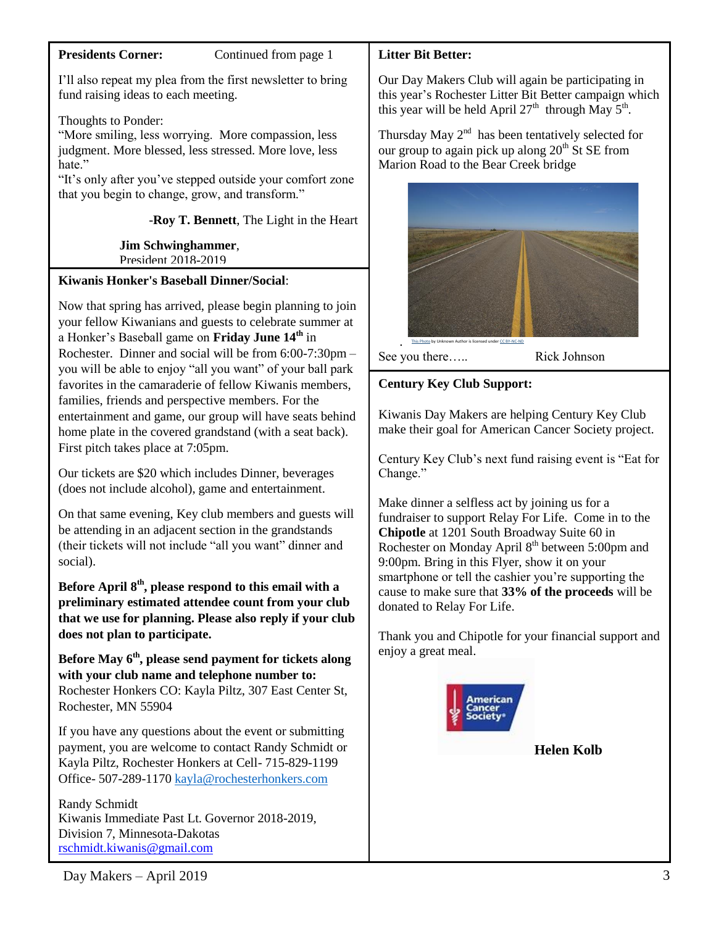### **Presidents Corner:** Continued from page 1

I'll also repeat my plea from the first newsletter to bring fund raising ideas to each meeting.

Thoughts to Ponder:

"More smiling, less worrying. More compassion, less judgment. More blessed, less stressed. More love, less hate."

"It's only after you've stepped outside your comfort zone that you begin to change, grow, and transform."

-**Roy T. Bennett**, The Light in the Heart

 **Jim Schwinghammer**, President 2018-2019

# **Kiwanis Honker's Baseball Dinner/Social**:

Now that spring has arrived, please begin planning to join your fellow Kiwanians and guests to celebrate summer at a Honker's Baseball game on **Friday June 14th** in Rochester. Dinner and social will be from 6:00-7:30pm – you will be able to enjoy "all you want" of your ball park favorites in the camaraderie of fellow Kiwanis members, families, friends and perspective members. For the entertainment and game, our group will have seats behind home plate in the covered grandstand (with a seat back). First pitch takes place at 7:05pm.

Our tickets are \$20 which includes Dinner, beverages (does not include alcohol), game and entertainment.

On that same evening, Key club members and guests will be attending in an adjacent section in the grandstands (their tickets will not include "all you want" dinner and social).

**Before April 8th, please respond to this email with a preliminary estimated attendee count from your club that we use for planning. Please also reply if your club does not plan to participate.**

**Before May 6th, please send payment for tickets along with your club name and telephone number to:** Rochester Honkers CO: Kayla Piltz, 307 East Center St, Rochester, MN 55904

If you have any questions about the event or submitting payment, you are welcome to contact Randy Schmidt or Kayla Piltz, Rochester Honkers at Cell- 715-829-1199 Office- 507-289-1170 [kayla@rochesterhonkers.com](mailto:kayla@rochesterhonkers.com)

Randy Schmidt Kiwanis Immediate Past Lt. Governor 2018-2019, Division 7, Minnesota-Dakotas [rschmidt.kiwanis@gmail.com](mailto:rschmidt.kiwanis@gmail.com)

## **Litter Bit Better:**

Our Day Makers Club will again be participating in this year's Rochester Litter Bit Better campaign which this year will be held April  $27<sup>th</sup>$  through May  $5<sup>th</sup>$ .

Thursday May  $2<sup>nd</sup>$  has been tentatively selected for our group to again pick up along  $20<sup>th</sup>$  St SE from Marion Road to the Bear Creek bridge



See you there….. Rick Johnson

**Century Key Club Support:**

Kiwanis Day Makers are helping Century Key Club make their goal for American Cancer Society project.

Century Key Club's next fund raising event is "Eat for Change."

Make dinner a selfless act by joining us for a fundraiser to support Relay For Life. Come in to the **Chipotle** at 1201 South Broadway Suite 60 in Rochester on Monday April 8<sup>th</sup> between 5:00pm and 9:00pm. Bring in this Flyer, show it on your smartphone or tell the cashier you're supporting the cause to make sure that **33% of the proceeds** will be donated to Relay For Life.

Thank you and Chipotle for your financial support and enjoy a great meal.



**Helen Kolb**

 $Day \text{Makers} - April \, 2019$  3